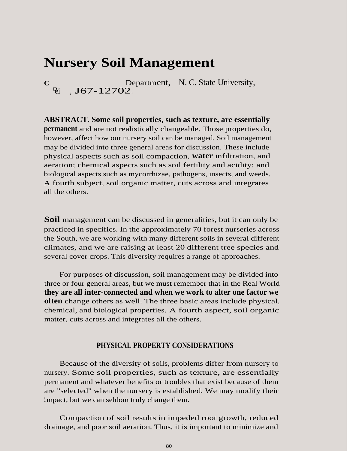# **Nursery Soil Management**

**C**  $\ddot{e}$ i, **J67-12702**.  $B_i$ Department, N. C. State University,

**ABSTRACT. Some soil properties, such as texture, are essentially permanent** and are not realistically changeable. Those properties do, however, affect how our nursery soil can be managed. Soil management may be divided into three general areas for discussion. These include physical aspects such as soil compaction, **water** infiltration, and aeration; chemical aspects such as soil fertility and acidity; and biological aspects such as mycorrhizae, pathogens, insects, and weeds. A fourth subject, soil organic matter, cuts across and integrates all the others.

**Soil** management can be discussed in generalities, but it can only be practiced in specifics. In the approximately 70 forest nurseries across the South, we are working with many different soils in several different climates, and we are raising at least 20 different tree species and several cover crops. This diversity requires a range of approaches.

For purposes of discussion, soil management may be divided into three or four general areas, but we must remember that in the Real World **they are all inter-connected and when we work to alter one factor we often** change others as well. The three basic areas include physical, chemical, and biological properties. A fourth aspect, soil organic matter, cuts across and integrates all the others.

### **PHYSICAL PROPERTY CONSIDERATIONS**

Because of the diversity of soils, problems differ from nursery to nursery. Some soil properties, such as texture, are essentially permanent and whatever benefits or troubles that exist because of them are "selected" when the nursery is established. We may modify their <sup>i</sup> mpact, but we can seldom truly change them.

Compaction of soil results in impeded root growth, reduced drainage, and poor soil aeration. Thus, it is important to minimize and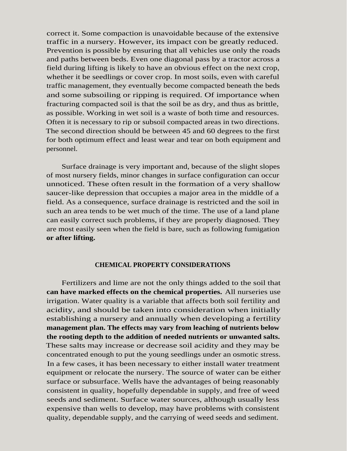correct it. Some compaction is unavoidable because of the extensive traffic in a nursery. However, its impact con be greatly reduced. Prevention is possible by ensuring that all vehicles use only the roads and paths between beds. Even one diagonal pass by a tractor across a field during lifting is likely to have an obvious effect on the next crop, whether it be seedlings or cover crop. In most soils, even with careful traffic management, they eventually become compacted beneath the beds and some subsoiling or ripping is required. Of importance when fracturing compacted soil is that the soil be as dry, and thus as brittle, as possible. Working in wet soil is a waste of both time and resources. Often it is necessary to rip or subsoil compacted areas in two directions. The second direction should be between 45 and 60 degrees to the first for both optimum effect and least wear and tear on both equipment and personnel.

Surface drainage is very important and, because of the slight slopes of most nursery fields, minor changes in surface configuration can occur unnoticed. These often result in the formation of a very shallow saucer-like depression that occupies a major area in the middle of a field. As a consequence, surface drainage is restricted and the soil in such an area tends to be wet much of the time. The use of a land plane can easily correct such problems, if they are properly diagnosed. They are most easily seen when the field is bare, such as following fumigation **or after lifting.**

#### **CHEMICAL PROPERTY CONSIDERATIONS**

Fertilizers and lime are not the only things added to the soil that **can have marked effects on the chemical properties.** All nurseries use irrigation. Water quality is a variable that affects both soil fertility and acidity, and should be taken into consideration when initially establishing a nursery and annually when developing a fertility **management plan. The effects may vary from leaching of nutrients below the rooting depth to the addition of needed nutrients or unwanted salts.** These salts may increase or decrease soil acidity and they may be concentrated enough to put the young seedlings under an osmotic stress. In a few cases, it has been necessary to either install water treatment equipment or relocate the nursery. The source of water can be either surface or subsurface. Wells have the advantages of being reasonably consistent in quality, hopefully dependable in supply, and free of weed seeds and sediment. Surface water sources, although usually less expensive than wells to develop, may have problems with consistent quality, dependable supply, and the carrying of weed seeds and sediment.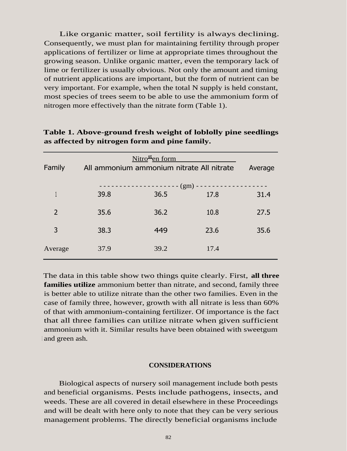Like organic matter, soil fertility is always declining. Consequently, we must plan for maintaining fertility through proper applications of fertilizer or lime at appropriate times throughout the growing season. Unlike organic matter, even the temporary lack of lime or fertilizer is usually obvious. Not only the amount and timing of nutrient applications are important, but the form of nutrient can be very important. For example, when the total N supply is held constant, most species of trees seem to be able to use the ammonium form of nitrogen more effectively than the nitrate form (Table 1).

| Family        | $Nitro$ <sup>2</sup> en form<br>All ammonium ammonium nitrate All nitrate |      |                  | Average |
|---------------|---------------------------------------------------------------------------|------|------------------|---------|
|               | 39.8                                                                      | 36.5 | $(gm)$ -<br>17.8 | 31.4    |
|               |                                                                           |      |                  |         |
| $\mathcal{P}$ | 35.6                                                                      | 36.2 | 10.8             | 27.5    |
| 3             | 38.3                                                                      | 449  | 23.6             | 35.6    |
| Average       | 37.9                                                                      | 39.2 | 17.4             |         |

# **Table 1. Above-ground fresh weight of loblolly pine seedlings as affected by nitrogen form and pine family.**

The data in this table show two things quite clearly. First, **all three families utilize** ammonium better than nitrate, and second, family three is better able to utilize nitrate than the other two families. Even in the case of family three, however, growth with all nitrate is less than 60% of that with ammonium-containing fertilizer. Of importance is the fact that all three families can utilize nitrate when given sufficient ammonium with it. Similar results have been obtained with sweetgum and green ash.

#### **CONSIDERATIONS**

Biological aspects of nursery soil management include both pests and beneficial organisms. Pests include pathogens, insects, and weeds. These are all covered in detail elsewhere in these Proceedings and will be dealt with here only to note that they can be very serious management problems. The directly beneficial organisms include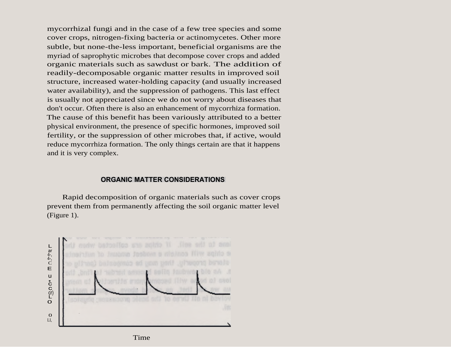mycorrhizal fungi and in the case of a few tree species and some cover crops, nitrogen-fixing bacteria or actinomycetes. Other more subtle, but none-the-less important, beneficial organisms are the myriad of saprophytic microbes that decompose cover crops and added organic materials such as sawdust or bark. The addition of readily-decomposable organic matter results in improved soil structure, increased water-holding capacity (and usually increased water availability), and the suppression of pathogens. This last effect is usually not appreciated since we do not worry about diseases that don't occur. Often there is also an enhancement of mycorrhiza formation. The cause of this benefit has been variously attributed to a better physical environment, the presence of specific hormones, improved soil fertility, or the suppression of other microbes that, if active, would reduce mycorrhiza formation. The only things certain are that it happens and it is very complex.

#### **ORGANIC MATTER CONSIDERATIONS**

Rapid decomposition of organic materials such as cover crops prevent them from permanently affecting the soil organic matter level (Figure 1).



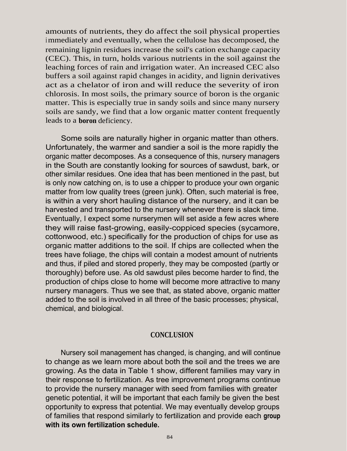amounts of nutrients, they do affect the soil physical properties immediately and eventually, when the cellulose has decomposed, the remaining lignin residues increase the soil's cation exchange capacity (CEC). This, in turn, holds various nutrients in the soil against the leaching forces of rain and irrigation water. An increased CEC also buffers a soil against rapid changes in acidity, and lignin derivatives act as a chelator of iron and will reduce the severity of iron chlorosis. In most soils, the primary source of boron is the organic matter. This is especially true in sandy soils and since many nursery soils are sandy, we find that a low organic matter content frequently leads to a **boron** deficiency.

Some soils are naturally higher in organic matter than others. Unfortunately, the warmer and sandier a soil is the more rapidly the organic matter decomposes. As a consequence of this, nursery managers in the South are constantly looking for sources of sawdust, bark, or other similar residues. One idea that has been mentioned in the past, but is only now catching on, is to use a chipper to produce your own organic matter from low quality trees (green junk). Often, such material is free, is within a very short hauling distance of the nursery, and it can be harvested and transported to the nursery whenever there is slack time. Eventually, I expect some nurserymen will set aside a few acres where they will raise fast-growing, easily-coppiced species (sycamore, cottonwood, etc.) specifically for the production of chips for use as organic matter additions to the soil. If chips are collected when the trees have foliage, the chips will contain a modest amount of nutrients and thus, if piled and stored properly, they may be composted (partly or thoroughly) before use. As old sawdust piles become harder to find, the production of chips close to home will become more attractive to many nursery managers. Thus we see that, as stated above, organic matter added to the soil is involved in all three of the basic processes; physical, chemical, and biological.

## **CONCLUSION**

Nursery soil management has changed, is changing, and will continue to change as we learn more about both the soil and the trees we are growing. As the data in Table 1 show, different families may vary in their response to fertilization. As tree improvement programs continue to provide the nursery manager with seed from families with greater genetic potential, it will be important that each family be given the best opportunity to express that potential. We may eventually develop groups of families that respond similarly to fertilization and provide each **group with its own fertilization schedule.**